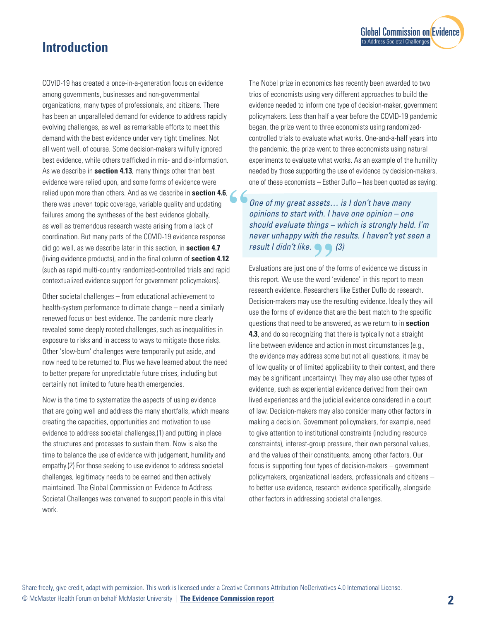# **Introduction**

COVID-19 has created a once-in-a-generation focus on evidence among governments, businesses and non-governmental organizations, many types of professionals, and citizens. There has been an unparalleled demand for evidence to address rapidly evolving challenges, as well as remarkable efforts to meet this demand with the best evidence under very tight timelines. Not all went well, of course. Some decision-makers wilfully ignored best evidence, while others trafficked in mis- and dis-information. As we describe in **section 4.13**, many things other than best evidence were relied upon, and some forms of evidence were relied upon more than others. And as we describe in **section 4.6**,  $\bullet$  **6**<br>there was uneven topic coverage, variable quality and updating<br>failures among the syntheses of the best evidence globally,<br>as woll as tramandous r there was uneven topic coverage, variable quality and updating failures among the syntheses of the best evidence globally, as well as tremendous research waste arising from a lack of coordination. But many parts of the COVID-19 evidence response did go well, as we describe later in this section, in **section 4.7** (living evidence products), and in the final column of **section 4.12** (such as rapid multi-country randomized-controlled trials and rapid contextualized evidence support for government policymakers).

Other societal challenges – from educational achievement to health-system performance to climate change – need a similarly renewed focus on best evidence. The pandemic more clearly revealed some deeply rooted challenges, such as inequalities in exposure to risks and in access to ways to mitigate those risks. Other 'slow-burn' challenges were temporarily put aside, and now need to be returned to. Plus we have learned about the need to better prepare for unpredictable future crises, including but certainly not limited to future health emergencies.

Now is the time to systematize the aspects of using evidence that are going well and address the many shortfalls, which means creating the capacities, opportunities and motivation to use evidence to address societal challenges,(1) and putting in place the structures and processes to sustain them. Now is also the time to balance the use of evidence with judgement, humility and empathy.(2) For those seeking to use evidence to address societal challenges, legitimacy needs to be earned and then actively maintained. The Global Commission on Evidence to Address Societal Challenges was convened to support people in this vital work.

The Nobel prize in economics has recently been awarded to two trios of economists using very different approaches to build the evidence needed to inform one type of decision-maker, government policymakers. Less than half a year before the COVID-19 pandemic began, the prize went to three economists using randomizedcontrolled trials to evaluate what works. One-and-a-half years into the pandemic, the prize went to three economists using natural experiments to evaluate what works. As an example of the humility needed by those supporting the use of evidence by decision-makers, one of these economists – Esther Duflo – has been quoted as saying:

**[Global Commission on Evidence](https://www.mcmasterforum.org/networks/evidence-commission/report/english)** 

to Address Societal Challenges

*One of my great assets… is I don't have many opinions to start with. I have one opinion – one should evaluate things – which is strongly held. I'm never unhappy with the results. I haven't yet seen a* **result I didn't like. (3)** *result I didn't like. (3)*

Evaluations are just one of the forms of evidence we discuss in this report. We use the word 'evidence' in this report to mean research evidence. Researchers like Esther Duflo do research. Decision-makers may use the resulting evidence. Ideally they will use the forms of evidence that are the best match to the specific questions that need to be answered, as we return to in **section 4.3**, and do so recognizing that there is typically not a straight line between evidence and action in most circumstances (e.g., the evidence may address some but not all questions, it may be of low quality or of limited applicability to their context, and there may be significant uncertainty). They may also use other types of evidence, such as experiential evidence derived from their own lived experiences and the judicial evidence considered in a court of law. Decision-makers may also consider many other factors in making a decision. Government policymakers, for example, need to give attention to institutional constraints (including resource constraints), interest-group pressure, their own personal values, and the values of their constituents, among other factors. Our focus is supporting four types of decision-makers – government policymakers, organizational leaders, professionals and citizens – to better use evidence, research evidence specifically, alongside other factors in addressing societal challenges.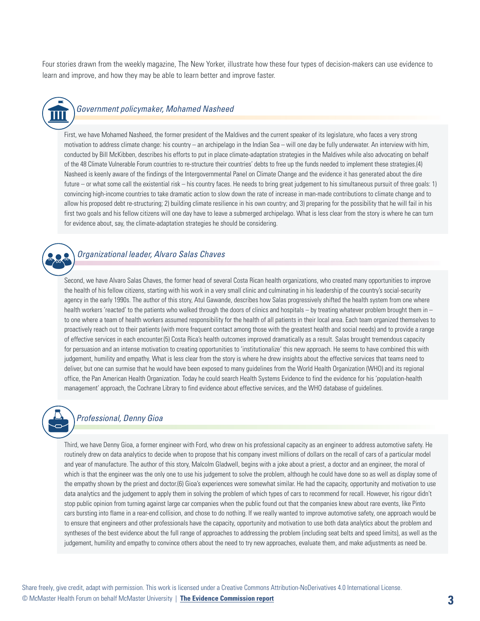Four stories drawn from the weekly magazine, The New Yorker, illustrate how these four types of decision-makers can use evidence to learn and improve, and how they may be able to learn better and improve faster.



## *Government policymaker, Mohamed Nasheed*

First, we have Mohamed Nasheed, the former president of the Maldives and the current speaker of its legislature, who faces a very strong motivation to address climate change: his country – an archipelago in the Indian Sea – will one day be fully underwater. An interview with him, conducted by Bill McKibben, describes his efforts to put in place climate-adaptation strategies in the Maldives while also advocating on behalf of the 48 Climate Vulnerable Forum countries to re-structure their countries' debts to free up the funds needed to implement these strategies.(4) Nasheed is keenly aware of the findings of the Intergovernmental Panel on Climate Change and the evidence it has generated about the dire future – or what some call the existential risk – his country faces. He needs to bring great judgement to his simultaneous pursuit of three goals: 1) convincing high-income countries to take dramatic action to slow down the rate of increase in man-made contributions to climate change and to allow his proposed debt re-structuring; 2) building climate resilience in his own country; and 3) preparing for the possibility that he will fail in his first two goals and his fellow citizens will one day have to leave a submerged archipelago. What is less clear from the story is where he can turn for evidence about, say, the climate-adaptation strategies he should be considering.



## *Organizational leader, Alvaro Salas Chaves*

Second, we have Alvaro Salas Chaves, the former head of several Costa Rican health organizations, who created many opportunities to improve the health of his fellow citizens, starting with his work in a very small clinic and culminating in his leadership of the country's social-security agency in the early 1990s. The author of this story, Atul Gawande, describes how Salas progressively shifted the health system from one where health workers 'reacted' to the patients who walked through the doors of clinics and hospitals  $-$  by treating whatever problem brought them in  $$ to one where a team of health workers assumed responsibility for the health of all patients in their local area. Each team organized themselves to proactively reach out to their patients (with more frequent contact among those with the greatest health and social needs) and to provide a range of effective services in each encounter.(5) Costa Rica's health outcomes improved dramatically as a result. Salas brought tremendous capacity for persuasion and an intense motivation to creating opportunities to 'institutionalize' this new approach. He seems to have combined this with judgement, humility and empathy. What is less clear from the story is where he drew insights about the effective services that teams need to deliver, but one can surmise that he would have been exposed to many guidelines from the World Health Organization (WHO) and its regional office, the Pan American Health Organization. Today he could search Health Systems Evidence to find the evidence for his 'population-health management' approach, the Cochrane Library to find evidence about effective services, and the WHO database of guidelines.



### *Professional, Denny Gioa*

Third, we have Denny Gioa, a former engineer with Ford, who drew on his professional capacity as an engineer to address automotive safety. He routinely drew on data analytics to decide when to propose that his company invest millions of dollars on the recall of cars of a particular model and year of manufacture. The author of this story, Malcolm Gladwell, begins with a joke about a priest, a doctor and an engineer, the moral of which is that the engineer was the only one to use his judgement to solve the problem, although he could have done so as well as display some of the empathy shown by the priest and doctor.(6) Gioa's experiences were somewhat similar. He had the capacity, opportunity and motivation to use data analytics and the judgement to apply them in solving the problem of which types of cars to recommend for recall. However, his rigour didn't stop public opinion from turning against large car companies when the public found out that the companies knew about rare events, like Pinto cars bursting into flame in a rear-end collision, and chose to do nothing. If we really wanted to improve automotive safety, one approach would be to ensure that engineers and other professionals have the capacity, opportunity and motivation to use both data analytics about the problem and syntheses of the best evidence about the full range of approaches to addressing the problem (including seat belts and speed limits), as well as the judgement, humility and empathy to convince others about the need to try new approaches, evaluate them, and make adjustments as need be.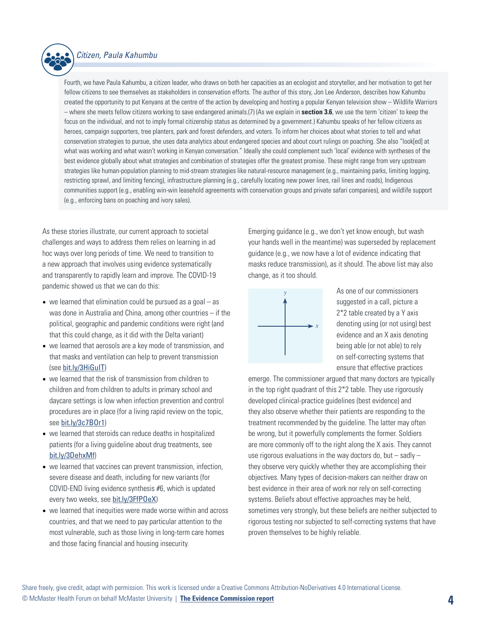

### *Citizen, Paula Kahumbu*

Fourth, we have Paula Kahumbu, a citizen leader, who draws on both her capacities as an ecologist and storyteller, and her motivation to get her fellow citizens to see themselves as stakeholders in conservation efforts. The author of this story, Jon Lee Anderson, describes how Kahumbu created the opportunity to put Kenyans at the centre of the action by developing and hosting a popular Kenyan television show – Wildlife Warriors – where she meets fellow citizens working to save endangered animals.(7) (As we explain in **section 3.6**, we use the term 'citizen' to keep the focus on the individual, and not to imply formal citizenship status as determined by a government.) Kahumbu speaks of her fellow citizens as heroes, campaign supporters, tree planters, park and forest defenders, and voters. To inform her choices about what stories to tell and what conservation strategies to pursue, she uses data analytics about endangered species and about court rulings on poaching. She also "look[ed] at what was working and what wasn't working in Kenyan conversation." Ideally she could complement such 'local' evidence with syntheses of the best evidence globally about what strategies and combination of strategies offer the greatest promise. These might range from very upstream strategies like human-population planning to mid-stream strategies like natural-resource management (e.g., maintaining parks, limiting logging, restricting sprawl, and limiting fencing), infrastructure planning (e.g., carefully locating new power lines, rail lines and roads), Indigenous communities support (e.g., enabling win-win leasehold agreements with conservation groups and private safari companies), and wildlife support (e.g., enforcing bans on poaching and ivory sales).

As these stories illustrate, our current approach to societal challenges and ways to address them relies on learning in ad hoc ways over long periods of time. We need to transition to a new approach that involves using evidence systematically and transparently to rapidly learn and improve. The COVID-19 pandemic showed us that we can do this:

- $\bullet\,$  we learned that elimination could be pursued as a goal  $-$  as was done in Australia and China, among other countries – if the political, geographic and pandemic conditions were right (and that this could change, as it did with the Delta variant)
- we learned that aerosols are a key mode of transmission, and that masks and ventilation can help to prevent transmission (see [bit.ly/3HiGuIT](http://bit.ly/3HiGuIT))
- we learned that the risk of transmission from children to children and from children to adults in primary school and daycare settings is low when infection prevention and control procedures are in place (for a living rapid review on the topic, see [bit.ly/3c7BOr1](http://bit.ly/3c7BOr1))
- we learned that steroids can reduce deaths in hospitalized patients (for a living guideline about drug treatments, see [bit.ly/3DehxMf](http://bit.ly/3DehxMf))
- we learned that vaccines can prevent transmission, infection, severe disease and death, including for new variants (for COVID-END living evidence synthesis #6, which is updated every two weeks, see [bit.ly/3FfPOeX](http://bit.ly/3FfPOeX))
- we learned that inequities were made worse within and across countries, and that we need to pay particular attention to the most vulnerable, such as those living in long-term care homes and those facing financial and housing insecurity.

Emerging guidance (e.g., we don't yet know enough, but wash your hands well in the meantime) was superseded by replacement guidance (e.g., we now have a lot of evidence indicating that masks reduce transmission), as it should. The above list may also change, as it too should.



As one of our commissioners suggested in a call, picture a 2\*2 table created by a Y axis denoting using (or not using) best evidence and an X axis denoting being able (or not able) to rely on self-correcting systems that ensure that effective practices

emerge. The commissioner argued that many doctors are typically in the top right quadrant of this 2\*2 table. They use rigorously developed clinical-practice guidelines (best evidence) and they also observe whether their patients are responding to the treatment recommended by the guideline. The latter may often be wrong, but it powerfully complements the former. Soldiers are more commonly off to the right along the X axis. They cannot use rigorous evaluations in the way doctors do, but  $-$  sadly  $$ they observe very quickly whether they are accomplishing their objectives. Many types of decision-makers can neither draw on best evidence in their area of work nor rely on self-correcting systems. Beliefs about effective approaches may be held, sometimes very strongly, but these beliefs are neither subjected to rigorous testing nor subjected to self-correcting systems that have proven themselves to be highly reliable.